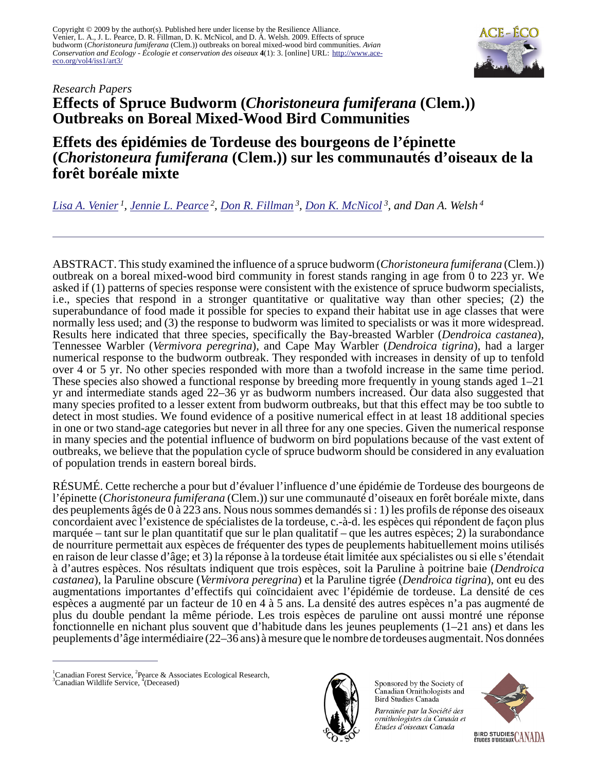

# *Research Papers* **Effects of Spruce Budworm (***Choristoneura fumiferana* **(Clem.)) Outbreaks on Boreal Mixed-Wood Bird Communities**

**Effets des épidémies de Tordeuse des bourgeons de l'épinette (***Choristoneura fumiferana* **(Clem.)) sur les communautés d'oiseaux de la forêt boréale mixte**

*[Lisa A. Venier](mailto:lvenier@nrcan.gc.ca)<sup>1</sup> , [Jennie L. Pearce](mailto:jlpearce@shaw.ca)<sup>2</sup> , [Don R. Fillman](mailto:Don.Fillman@ec.gc.ca)<sup>3</sup> , [Don K. McNicol](mailto:Don.McNicol@ec.gc.ca)<sup>3</sup>, and Dan A. Welsh<sup>4</sup>*

ABSTRACT. This study examined the influence of a spruce budworm (*Choristoneura fumiferana* (Clem.)) outbreak on a boreal mixed-wood bird community in forest stands ranging in age from 0 to 223 yr. We asked if (1) patterns of species response were consistent with the existence of spruce budworm specialists, i.e., species that respond in a stronger quantitative or qualitative way than other species; (2) the superabundance of food made it possible for species to expand their habitat use in age classes that were normally less used; and (3) the response to budworm was limited to specialists or was it more widespread. Results here indicated that three species, specifically the Bay-breasted Warbler (*Dendroica castanea*), Tennessee Warbler (*Vermivora peregrina*), and Cape May Warbler (*Dendroica tigrina*), had a larger numerical response to the budworm outbreak. They responded with increases in density of up to tenfold over 4 or 5 yr. No other species responded with more than a twofold increase in the same time period. These species also showed a functional response by breeding more frequently in young stands aged 1–21 yr and intermediate stands aged 22–36 yr as budworm numbers increased. Our data also suggested that many species profited to a lesser extent from budworm outbreaks, but that this effect may be too subtle to detect in most studies. We found evidence of a positive numerical effect in at least 18 additional species in one or two stand-age categories but never in all three for any one species. Given the numerical response in many species and the potential influence of budworm on bird populations because of the vast extent of outbreaks, we believe that the population cycle of spruce budworm should be considered in any evaluation of population trends in eastern boreal birds.

RÉSUMÉ. Cette recherche a pour but d'évaluer l'influence d'une épidémie de Tordeuse des bourgeons de l'épinette (*Choristoneura fumiferana* (Clem.)) sur une communauté d'oiseaux en forêt boréale mixte, dans des peuplements âgés de 0 à 223 ans. Nous nous sommes demandés si : 1) les profils de réponse des oiseaux concordaient avec l'existence de spécialistes de la tordeuse, c.-à-d. les espèces qui répondent de façon plus marquée – tant sur le plan quantitatif que sur le plan qualitatif – que les autres espèces; 2) la surabondance de nourriture permettait aux espèces de fréquenter des types de peuplements habituellement moins utilisés en raison de leur classe d'âge; et 3) la réponse à la tordeuse était limitée aux spécialistes ou si elle s'étendait à d'autres espèces. Nos résultats indiquent que trois espèces, soit la Paruline à poitrine baie (*Dendroica castanea*), la Paruline obscure (*Vermivora peregrina*) et la Paruline tigrée (*Dendroica tigrina*), ont eu des augmentations importantes d'effectifs qui coïncidaient avec l'épidémie de tordeuse. La densité de ces espèces a augmenté par un facteur de 10 en 4 à 5 ans. La densité des autres espèces n'a pas augmenté de plus du double pendant la même période. Les trois espèces de paruline ont aussi montré une réponse fonctionnelle en nichant plus souvent que d'habitude dans les jeunes peuplements (1–21 ans) et dans les peuplements d'âge intermédiaire (22–36 ans) à mesure que le nombre de tordeuses augmentait. Nos données



Sponsored by the Society of Canadian Ornithologists and Bird Studies Canada

Parrainée par la Société des ornithologistes du Canada et Études d'oiseaux Canada



<sup>&</sup>lt;sup>1</sup>Canadian Forest Service, <sup>2</sup>Pearce & Associates Ecological Research, <sup>3</sup>Canadian Wildlife Service, <sup>4</sup>(Deceased)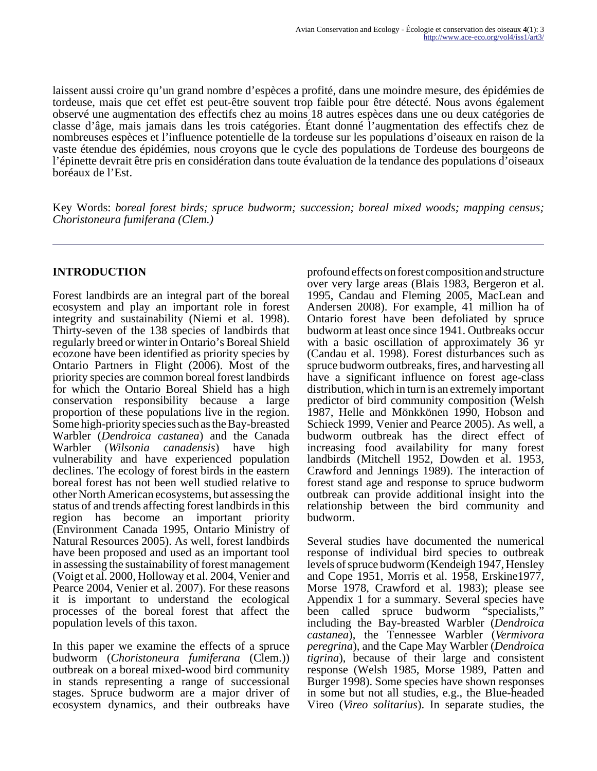laissent aussi croire qu'un grand nombre d'espèces a profité, dans une moindre mesure, des épidémies de tordeuse, mais que cet effet est peut-être souvent trop faible pour être détecté. Nous avons également observé une augmentation des effectifs chez au moins 18 autres espèces dans une ou deux catégories de classe d'âge, mais jamais dans les trois catégories. Étant donné l'augmentation des effectifs chez de nombreuses espèces et l'influence potentielle de la tordeuse sur les populations d'oiseaux en raison de la vaste étendue des épidémies, nous croyons que le cycle des populations de Tordeuse des bourgeons de l'épinette devrait être pris en considération dans toute évaluation de la tendance des populations d'oiseaux boréaux de l'Est.

Key Words: *boreal forest birds; spruce budworm; succession; boreal mixed woods; mapping census; Choristoneura fumiferana (Clem.)*

# **INTRODUCTION**

Forest landbirds are an integral part of the boreal ecosystem and play an important role in forest integrity and sustainability (Niemi et al. 1998). Thirty-seven of the 138 species of landbirds that regularly breed or winter in Ontario's Boreal Shield ecozone have been identified as priority species by Ontario Partners in Flight (2006). Most of the priority species are common boreal forest landbirds for which the Ontario Boreal Shield has a high conservation responsibility because a large proportion of these populations live in the region. Some high-priority species such as the Bay-breasted Warbler (*Dendroica castanea*) and the Canada Warbler (*Wilsonia canadensis*) have high vulnerability and have experienced population declines. The ecology of forest birds in the eastern boreal forest has not been well studied relative to other North American ecosystems, but assessing the status of and trends affecting forest landbirds in this region has become an important priority (Environment Canada 1995, Ontario Ministry of Natural Resources 2005). As well, forest landbirds have been proposed and used as an important tool in assessing the sustainability of forest management (Voigt et al. 2000, Holloway et al. 2004, Venier and Pearce 2004, Venier et al. 2007). For these reasons it is important to understand the ecological processes of the boreal forest that affect the population levels of this taxon.

In this paper we examine the effects of a spruce budworm (*Choristoneura fumiferana* (Clem.)) outbreak on a boreal mixed-wood bird community in stands representing a range of successional stages. Spruce budworm are a major driver of ecosystem dynamics, and their outbreaks have

profound effects on forest composition and structure over very large areas (Blais 1983, Bergeron et al. 1995, Candau and Fleming 2005, MacLean and Andersen 2008). For example, 41 million ha of Ontario forest have been defoliated by spruce budworm at least once since 1941. Outbreaks occur with a basic oscillation of approximately 36 yr (Candau et al. 1998). Forest disturbances such as spruce budworm outbreaks, fires, and harvesting all have a significant influence on forest age-class distribution, which in turn is an extremely important predictor of bird community composition (Welsh 1987, Helle and Mönkkönen 1990, Hobson and Schieck 1999, Venier and Pearce 2005). As well, a budworm outbreak has the direct effect of increasing food availability for many forest landbirds (Mitchell 1952, Dowden et al. 1953, Crawford and Jennings 1989). The interaction of forest stand age and response to spruce budworm outbreak can provide additional insight into the relationship between the bird community and budworm.

Several studies have documented the numerical response of individual bird species to outbreak levels of spruce budworm (Kendeigh 1947, Hensley and Cope 1951, Morris et al. 1958, Erskine1977, Morse 1978, Crawford et al. 1983); please see Appendix 1 for a summary. Several species have been called spruce budworm "specialists," including the Bay-breasted Warbler (*Dendroica castanea*), the Tennessee Warbler (*Vermivora peregrina*), and the Cape May Warbler (*Dendroica tigrina*), because of their large and consistent response (Welsh 1985, Morse 1989, Patten and Burger 1998). Some species have shown responses in some but not all studies, e.g., the Blue-headed Vireo (*Vireo solitarius*). In separate studies, the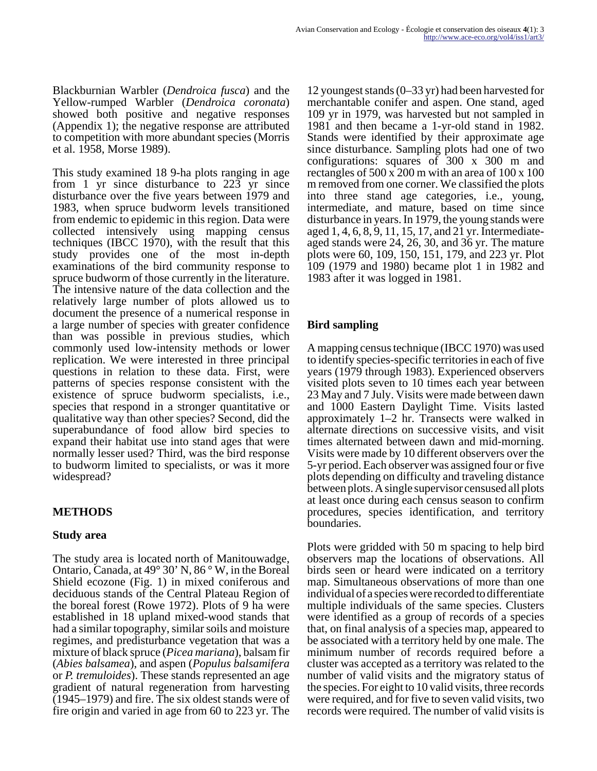Blackburnian Warbler (*Dendroica fusca*) and the Yellow-rumped Warbler (*Dendroica coronata*) showed both positive and negative responses (Appendix 1); the negative response are attributed to competition with more abundant species (Morris et al. 1958, Morse 1989).

This study examined 18 9-ha plots ranging in age from 1 yr since disturbance to 223 yr since disturbance over the five years between 1979 and 1983, when spruce budworm levels transitioned from endemic to epidemic in this region. Data were collected intensively using mapping census techniques (IBCC 1970), with the result that this study provides one of the most in-depth examinations of the bird community response to spruce budworm of those currently in the literature. The intensive nature of the data collection and the relatively large number of plots allowed us to document the presence of a numerical response in a large number of species with greater confidence than was possible in previous studies, which commonly used low-intensity methods or lower replication. We were interested in three principal questions in relation to these data. First, were patterns of species response consistent with the existence of spruce budworm specialists, i.e., species that respond in a stronger quantitative or qualitative way than other species? Second, did the superabundance of food allow bird species to expand their habitat use into stand ages that were normally lesser used? Third, was the bird response to budworm limited to specialists, or was it more widespread?

## **METHODS**

### **Study area**

The study area is located north of Manitouwadge, Ontario, Canada, at 49° 30' N, 86 ° W, in the Boreal Shield ecozone (Fig. 1) in mixed coniferous and deciduous stands of the Central Plateau Region of the boreal forest (Rowe 1972). Plots of 9 ha were established in 18 upland mixed-wood stands that had a similar topography, similar soils and moisture regimes, and predisturbance vegetation that was a mixture of black spruce (*Picea mariana*), balsam fir (*Abies balsamea*), and aspen (*Populus balsamifera* or *P. tremuloides*). These stands represented an age gradient of natural regeneration from harvesting (1945–1979) and fire. The six oldest stands were of fire origin and varied in age from 60 to 223 yr. The

12 youngest stands (0–33 yr) had been harvested for merchantable conifer and aspen. One stand, aged 109 yr in 1979, was harvested but not sampled in 1981 and then became a 1-yr-old stand in 1982. Stands were identified by their approximate age since disturbance. Sampling plots had one of two configurations: squares of 300 x 300 m and rectangles of 500 x 200 m with an area of 100 x 100 m removed from one corner. We classified the plots into three stand age categories, i.e., young, intermediate, and mature, based on time since disturbance in years. In 1979, the young stands were aged 1, 4, 6, 8, 9, 11, 15, 17, and 21 yr. Intermediateaged stands were 24, 26, 30, and 36 yr. The mature plots were 60, 109, 150, 151, 179, and 223 yr. Plot 109 (1979 and 1980) became plot 1 in 1982 and 1983 after it was logged in 1981.

## **Bird sampling**

A mapping census technique (IBCC 1970) was used to identify species-specific territories in each of five years (1979 through 1983). Experienced observers visited plots seven to 10 times each year between 23 May and 7 July. Visits were made between dawn and 1000 Eastern Daylight Time. Visits lasted approximately 1–2 hr. Transects were walked in alternate directions on successive visits, and visit times alternated between dawn and mid-morning. Visits were made by 10 different observers over the 5-yr period. Each observer was assigned four or five plots depending on difficulty and traveling distance between plots. A single supervisor censused all plots at least once during each census season to confirm procedures, species identification, and territory boundaries.

Plots were gridded with 50 m spacing to help bird observers map the locations of observations. All birds seen or heard were indicated on a territory map. Simultaneous observations of more than one individual of a species were recorded to differentiate multiple individuals of the same species. Clusters were identified as a group of records of a species that, on final analysis of a species map, appeared to be associated with a territory held by one male. The minimum number of records required before a cluster was accepted as a territory was related to the number of valid visits and the migratory status of the species. For eight to 10 valid visits, three records were required, and for five to seven valid visits, two records were required. The number of valid visits is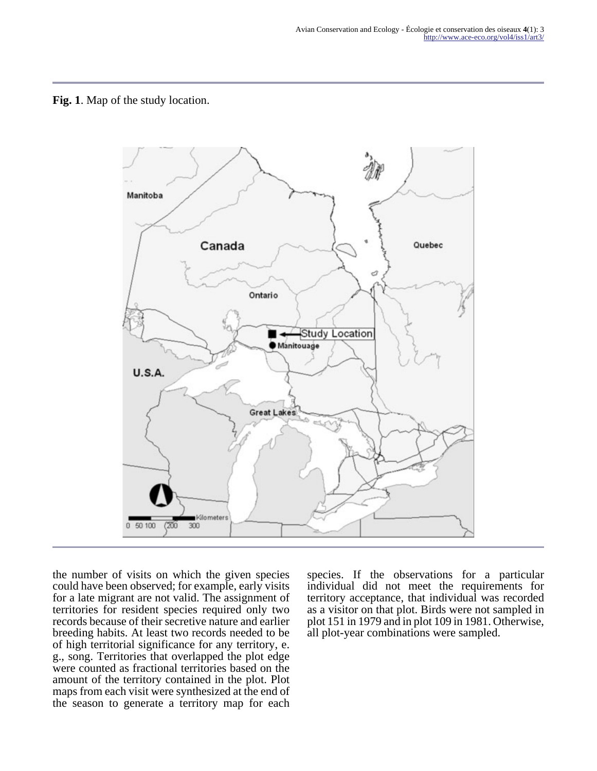**Fig. 1**. Map of the study location.



the number of visits on which the given species could have been observed; for example, early visits for a late migrant are not valid. The assignment of territories for resident species required only two records because of their secretive nature and earlier breeding habits. At least two records needed to be of high territorial significance for any territory, e. g., song. Territories that overlapped the plot edge were counted as fractional territories based on the amount of the territory contained in the plot. Plot maps from each visit were synthesized at the end of the season to generate a territory map for each

species. If the observations for a particular individual did not meet the requirements for territory acceptance, that individual was recorded as a visitor on that plot. Birds were not sampled in plot 151 in 1979 and in plot 109 in 1981. Otherwise, all plot-year combinations were sampled.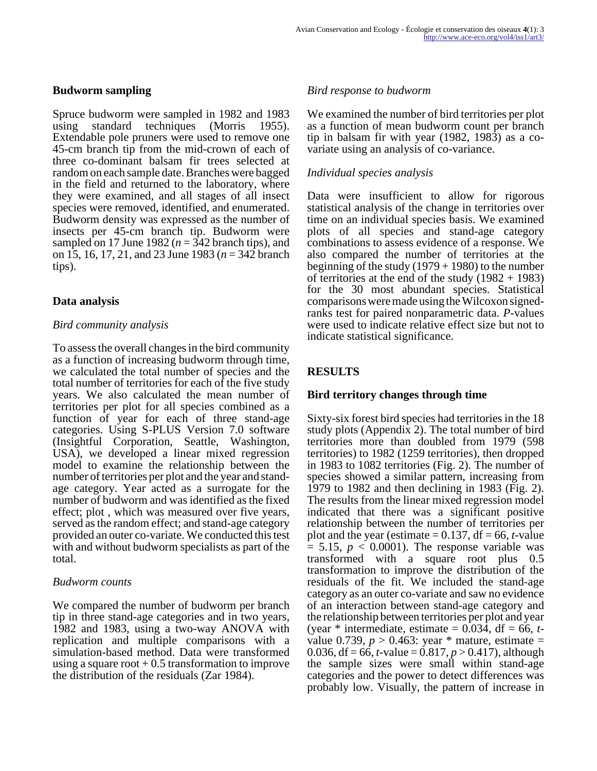#### **Budworm sampling**

Spruce budworm were sampled in 1982 and 1983 using standard techniques (Morris 1955). Extendable pole pruners were used to remove one 45-cm branch tip from the mid-crown of each of three co-dominant balsam fir trees selected at random on each sample date. Branches were bagged in the field and returned to the laboratory, where they were examined, and all stages of all insect species were removed, identified, and enumerated. Budworm density was expressed as the number of insects per 45-cm branch tip. Budworm were sampled on 17 June 1982 ( $n = 342$  branch tips), and on 15, 16, 17, 21, and 23 June 1983 (*n* = 342 branch tips).

### **Data analysis**

#### *Bird community analysis*

To assess the overall changes in the bird community as a function of increasing budworm through time, we calculated the total number of species and the total number of territories for each of the five study years. We also calculated the mean number of territories per plot for all species combined as a function of year for each of three stand-age categories. Using S-PLUS Version 7.0 software (Insightful Corporation, Seattle, Washington, USA), we developed a linear mixed regression model to examine the relationship between the number of territories per plot and the year and standage category. Year acted as a surrogate for the number of budworm and was identified as the fixed effect; plot , which was measured over five years, served as the random effect; and stand-age category provided an outer co-variate. We conducted this test with and without budworm specialists as part of the total.

#### *Budworm counts*

We compared the number of budworm per branch tip in three stand-age categories and in two years, 1982 and 1983, using a two-way ANOVA with replication and multiple comparisons with a simulation-based method. Data were transformed using a square root  $+0.5$  transformation to improve the distribution of the residuals (Zar 1984).

### *Bird response to budworm*

We examined the number of bird territories per plot as a function of mean budworm count per branch tip in balsam fir with year (1982, 1983) as a covariate using an analysis of co-variance.

### *Individual species analysis*

Data were insufficient to allow for rigorous statistical analysis of the change in territories over time on an individual species basis. We examined plots of all species and stand-age category combinations to assess evidence of a response. We also compared the number of territories at the beginning of the study  $(1979 + 1980)$  to the number of territories at the end of the study  $(1982 + 1983)$ for the 30 most abundant species. Statistical comparisons were made using the Wilcoxon signedranks test for paired nonparametric data. *P*-values were used to indicate relative effect size but not to indicate statistical significance.

## **RESULTS**

### **Bird territory changes through time**

Sixty-six forest bird species had territories in the 18 study plots (Appendix 2). The total number of bird territories more than doubled from 1979 (598 territories) to 1982 (1259 territories), then dropped in 1983 to 1082 territories (Fig. 2). The number of species showed a similar pattern, increasing from 1979 to 1982 and then declining in 1983 (Fig. 2). The results from the linear mixed regression model indicated that there was a significant positive relationship between the number of territories per plot and the year (estimate  $= 0.137$ , df  $= 66$ , *t*-value  $= 5.15, p < 0.0001$ . The response variable was transformed with a square root plus 0.5 transformation to improve the distribution of the residuals of the fit. We included the stand-age category as an outer co-variate and saw no evidence of an interaction between stand-age category and the relationship between territories per plot and year (year  $*$  intermediate, estimate  $= 0.034$ , df  $= 66$ , *t*value 0.739,  $p > 0.463$ : year \* mature, estimate = 0.036, df = 66, *t*-value = 0.817,  $p > 0.417$ ), although the sample sizes were small within stand-age categories and the power to detect differences was probably low. Visually, the pattern of increase in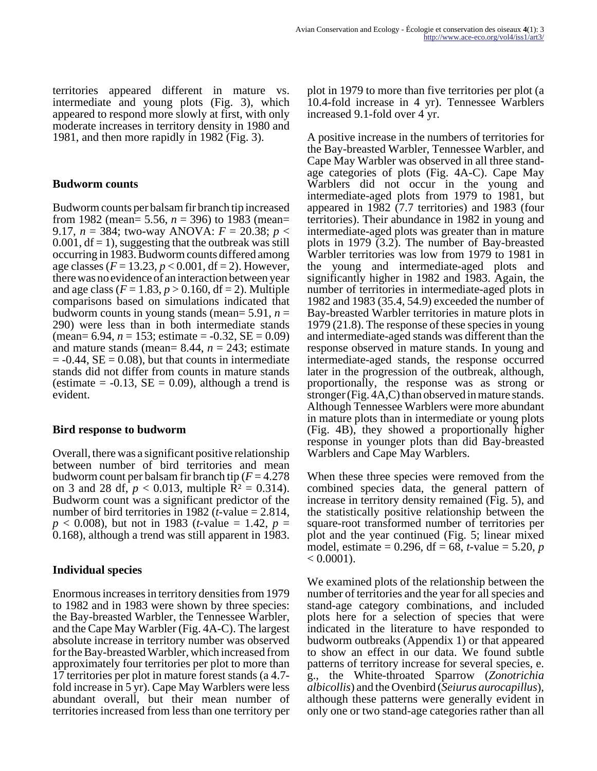territories appeared different in mature vs. intermediate and young plots (Fig. 3), which appeared to respond more slowly at first, with only moderate increases in territory density in 1980 and 1981, and then more rapidly in 1982 (Fig. 3).

#### **Budworm counts**

Budworm counts per balsam fir branch tip increased from 1982 (mean= 5.56, *n* = 396) to 1983 (mean= 9.17, *n* = 384; two-way ANOVA: *F* = 20.38; *p* <  $0.001$ , df = 1), suggesting that the outbreak was still occurring in 1983. Budworm counts differed among age classes (*F* = 13.23, *p* < 0.001, df = 2). However, there was no evidence of an interaction between year and age class ( $F = 1.83$ ,  $p > 0.160$ , df = 2). Multiple comparisons based on simulations indicated that budworm counts in young stands (mean=  $5.91$ ,  $n =$ 290) were less than in both intermediate stands  $(\text{mean} = 6.94, n = 153; \text{ estimate} = -0.32, SE = 0.09)$ and mature stands (mean=  $8.44$ ,  $n = 243$ ; estimate  $= -0.44$ , SE  $= 0.08$ ), but that counts in intermediate stands did not differ from counts in mature stands (estimate  $= -0.13$ ,  $SE = 0.09$ ), although a trend is evident.

#### **Bird response to budworm**

Overall, there was a significant positive relationship between number of bird territories and mean budworm count per balsam fir branch tip (*F* = 4.278 on 3 and 28 df,  $p < 0.013$ , multiple R<sup>2</sup> = 0.314). Budworm count was a significant predictor of the number of bird territories in 1982 (*t*-value = 2.814, *p* < 0.008), but not in 1983 (*t*-value = 1.42, *p* = 0.168), although a trend was still apparent in 1983.

### **Individual species**

Enormous increases in territory densities from 1979 to 1982 and in 1983 were shown by three species: the Bay-breasted Warbler, the Tennessee Warbler, and the Cape May Warbler (Fig. 4A-C). The largest absolute increase in territory number was observed for the Bay-breasted Warbler, which increased from approximately four territories per plot to more than 17 territories per plot in mature forest stands (a 4.7 fold increase in 5 yr). Cape May Warblers were less abundant overall, but their mean number of territories increased from less than one territory per

plot in 1979 to more than five territories per plot (a 10.4-fold increase in 4 yr). Tennessee Warblers increased 9.1-fold over 4 yr.

A positive increase in the numbers of territories for the Bay-breasted Warbler, Tennessee Warbler, and Cape May Warbler was observed in all three standage categories of plots (Fig. 4A-C). Cape May Warblers did not occur in the young and intermediate-aged plots from 1979 to 1981, but appeared in 1982 (7.7 territories) and 1983 (four territories). Their abundance in 1982 in young and intermediate-aged plots was greater than in mature plots in 1979 (3.2). The number of Bay-breasted Warbler territories was low from 1979 to 1981 in the young and intermediate-aged plots and significantly higher in 1982 and 1983. Again, the number of territories in intermediate-aged plots in 1982 and 1983 (35.4, 54.9) exceeded the number of Bay-breasted Warbler territories in mature plots in 1979 (21.8). The response of these species in young and intermediate-aged stands was different than the response observed in mature stands. In young and intermediate-aged stands, the response occurred later in the progression of the outbreak, although, proportionally, the response was as strong or stronger (Fig. 4A,C) than observed in mature stands. Although Tennessee Warblers were more abundant in mature plots than in intermediate or young plots (Fig. 4B), they showed a proportionally higher response in younger plots than did Bay-breasted Warblers and Cape May Warblers.

When these three species were removed from the combined species data, the general pattern of increase in territory density remained (Fig. 5), and the statistically positive relationship between the square-root transformed number of territories per plot and the year continued (Fig. 5; linear mixed model, estimate = 0.296, df = 68, *t*-value = 5.20, *p*  $< 0.0001$ ).

We examined plots of the relationship between the number of territories and the year for all species and stand-age category combinations, and included plots here for a selection of species that were indicated in the literature to have responded to budworm outbreaks (Appendix 1) or that appeared to show an effect in our data. We found subtle patterns of territory increase for several species, e. g., the White-throated Sparrow (*Zonotrichia albicollis*) and the Ovenbird (*Seiurus aurocapillus*), although these patterns were generally evident in only one or two stand-age categories rather than all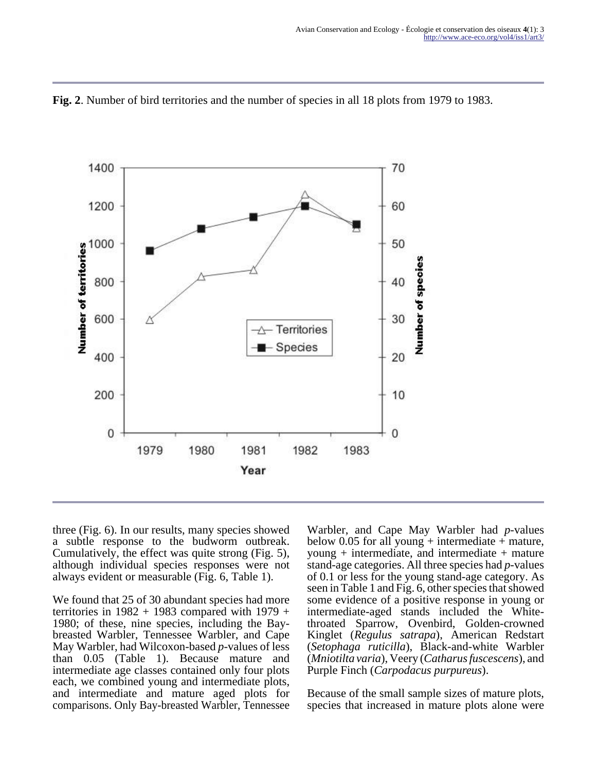



three (Fig. 6). In our results, many species showed a subtle response to the budworm outbreak. Cumulatively, the effect was quite strong (Fig. 5), although individual species responses were not always evident or measurable (Fig. 6, Table 1).

We found that 25 of 30 abundant species had more territories in  $1982 + 1983$  compared with  $1979 +$ 1980; of these, nine species, including the Baybreasted Warbler, Tennessee Warbler, and Cape May Warbler, had Wilcoxon-based *p*-values of less than 0.05 (Table 1). Because mature and intermediate age classes contained only four plots each, we combined young and intermediate plots, and intermediate and mature aged plots for comparisons. Only Bay-breasted Warbler, Tennessee

Warbler, and Cape May Warbler had *p*-values below 0.05 for all young  $+$  intermediate  $+$  mature,  $\gamma$ young + intermediate, and intermediate + mature stand-age categories. All three species had *p*-values of 0.1 or less for the young stand-age category. As seen in Table 1 and Fig. 6, other species that showed some evidence of a positive response in young or intermediate-aged stands included the Whitethroated Sparrow, Ovenbird, Golden-crowned Kinglet (*Regulus satrapa*), American Redstart (*Setophaga ruticilla*), Black-and-white Warbler (*Mniotilta varia*), Veery (*Catharus fuscescens*), and Purple Finch (*Carpodacus purpureus*).

Because of the small sample sizes of mature plots, species that increased in mature plots alone were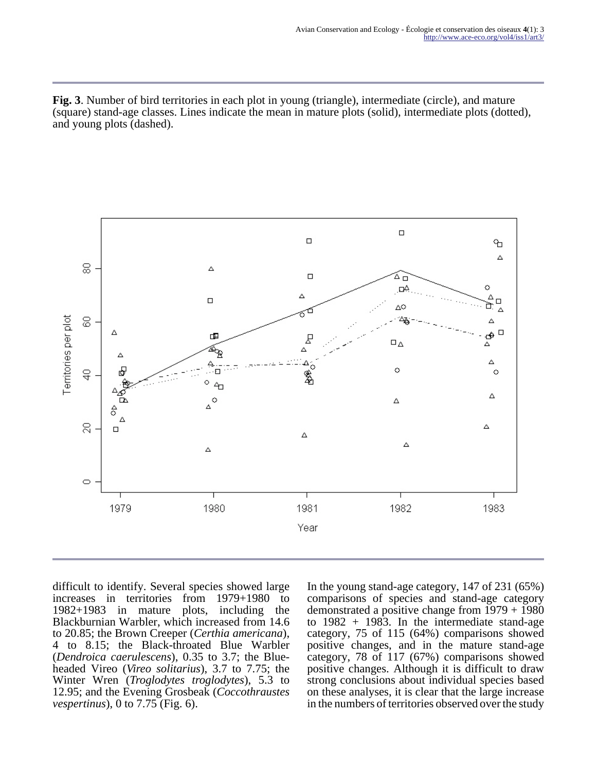**Fig. 3**. Number of bird territories in each plot in young (triangle), intermediate (circle), and mature (square) stand-age classes. Lines indicate the mean in mature plots (solid), intermediate plots (dotted), and young plots (dashed).



difficult to identify. Several species showed large increases in territories from 1979+1980 to 1982+1983 in mature plots, including the Blackburnian Warbler, which increased from 14.6 to 20.85; the Brown Creeper (*Certhia americana*), 4 to 8.15; the Black-throated Blue Warbler (*Dendroica caerulescens*), 0.35 to 3.7; the Blueheaded Vireo (*Vireo solitarius*), 3.7 to 7.75; the Winter Wren (*Troglodytes troglodytes*), 5.3 to 12.95; and the Evening Grosbeak (*Coccothraustes vespertinus*), 0 to 7.75 (Fig. 6).

In the young stand-age category, 147 of 231 (65%) comparisons of species and stand-age category demonstrated a positive change from 1979 + 1980 to  $1982 + 1983$ . In the intermediate stand-age category, 75 of 115 (64%) comparisons showed positive changes, and in the mature stand-age category, 78 of 117 (67%) comparisons showed positive changes. Although it is difficult to draw strong conclusions about individual species based on these analyses, it is clear that the large increase in the numbers of territories observed over the study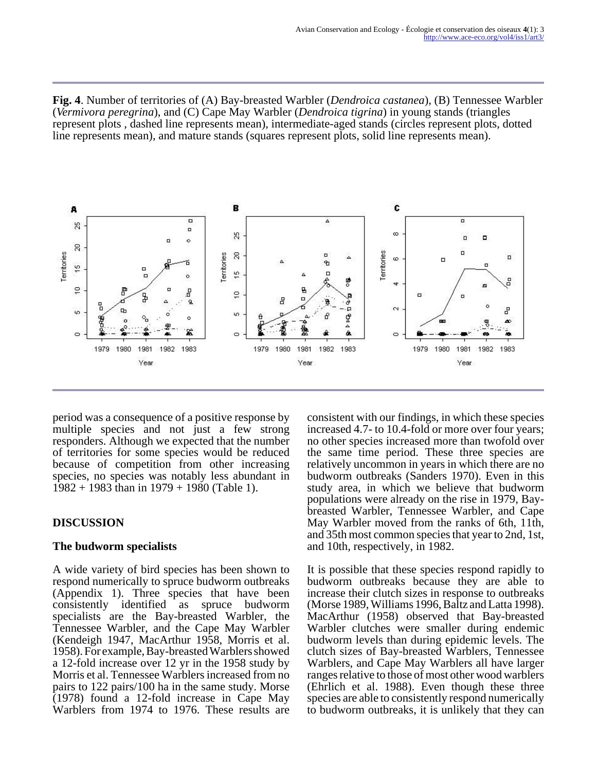**Fig. 4**. Number of territories of (A) Bay-breasted Warbler (*Dendroica castanea*), (B) Tennessee Warbler (*Vermivora peregrina*), and (C) Cape May Warbler (*Dendroica tigrina*) in young stands (triangles represent plots , dashed line represents mean), intermediate-aged stands (circles represent plots, dotted line represents mean), and mature stands (squares represent plots, solid line represents mean).



period was a consequence of a positive response by multiple species and not just a few strong responders. Although we expected that the number of territories for some species would be reduced because of competition from other increasing species, no species was notably less abundant in 1982 + 1983 than in 1979 + 1980 (Table 1).

### **DISCUSSION**

### **The budworm specialists**

A wide variety of bird species has been shown to respond numerically to spruce budworm outbreaks (Appendix 1). Three species that have been consistently identified as spruce budworm specialists are the Bay-breasted Warbler, the Tennessee Warbler, and the Cape May Warbler (Kendeigh 1947, MacArthur 1958, Morris et al. 1958). For example, Bay-breasted Warblers showed a 12-fold increase over 12 yr in the 1958 study by Morris et al. Tennessee Warblers increased from no pairs to 122 pairs/100 ha in the same study. Morse (1978) found a 12-fold increase in Cape May Warblers from 1974 to 1976. These results are consistent with our findings, in which these species increased 4.7- to 10.4-fold or more over four years; no other species increased more than twofold over the same time period. These three species are relatively uncommon in years in which there are no budworm outbreaks (Sanders 1970). Even in this study area, in which we believe that budworm populations were already on the rise in 1979, Baybreasted Warbler, Tennessee Warbler, and Cape May Warbler moved from the ranks of 6th, 11th, and 35th most common species that year to 2nd, 1st, and 10th, respectively, in 1982.

It is possible that these species respond rapidly to budworm outbreaks because they are able to increase their clutch sizes in response to outbreaks (Morse 1989, Williams 1996, Baltz and Latta 1998). MacArthur (1958) observed that Bay-breasted Warbler clutches were smaller during endemic budworm levels than during epidemic levels. The clutch sizes of Bay-breasted Warblers, Tennessee Warblers, and Cape May Warblers all have larger ranges relative to those of most other wood warblers (Ehrlich et al. 1988). Even though these three species are able to consistently respond numerically to budworm outbreaks, it is unlikely that they can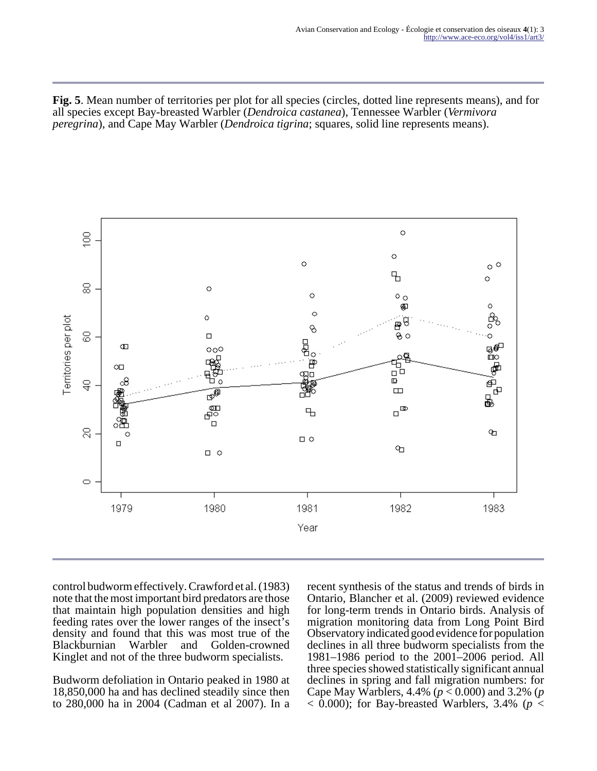**Fig. 5**. Mean number of territories per plot for all species (circles, dotted line represents means), and for all species except Bay-breasted Warbler (*Dendroica castanea*), Tennessee Warbler (*Vermivora peregrina*), and Cape May Warbler (*Dendroica tigrina*; squares, solid line represents means).



control budworm effectively. Crawford et al. (1983) note that the most important bird predators are those that maintain high population densities and high feeding rates over the lower ranges of the insect's density and found that this was most true of the Blackburnian Warbler and Golden-crowned Kinglet and not of the three budworm specialists.

Budworm defoliation in Ontario peaked in 1980 at 18,850,000 ha and has declined steadily since then to 280,000 ha in 2004 (Cadman et al 2007). In a recent synthesis of the status and trends of birds in Ontario, Blancher et al. (2009) reviewed evidence for long-term trends in Ontario birds. Analysis of migration monitoring data from Long Point Bird Observatory indicated good evidence for population declines in all three budworm specialists from the 1981–1986 period to the 2001–2006 period. All three species showed statistically significant annual declines in spring and fall migration numbers: for Cape May Warblers, 4.4% (*p* < 0.000) and 3.2% (*p*  $<$  0.000); for Bay-breasted Warblers, 3.4% ( $p$   $<$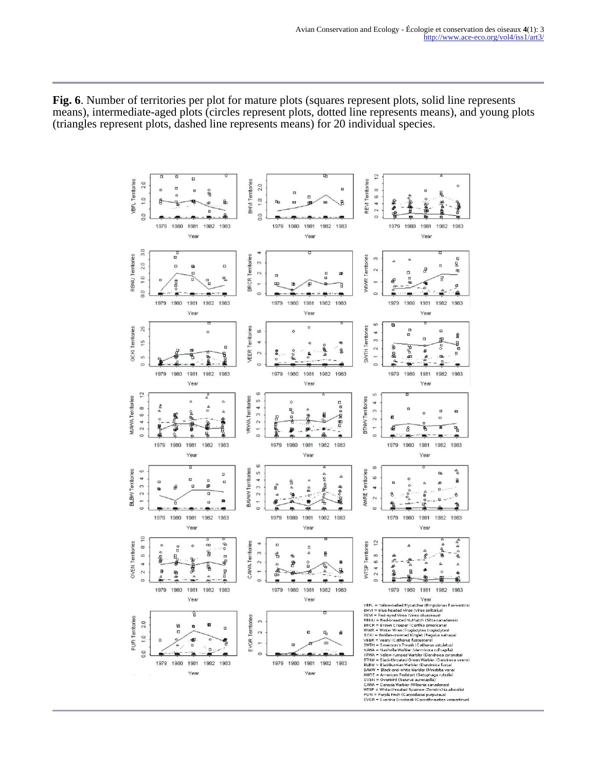**Fig. 6**. Number of territories per plot for mature plots (squares represent plots, solid line represents means), intermediate-aged plots (circles represent plots, dotted line represents means), and young plots (triangles represent plots, dashed line represents means) for 20 individual species.

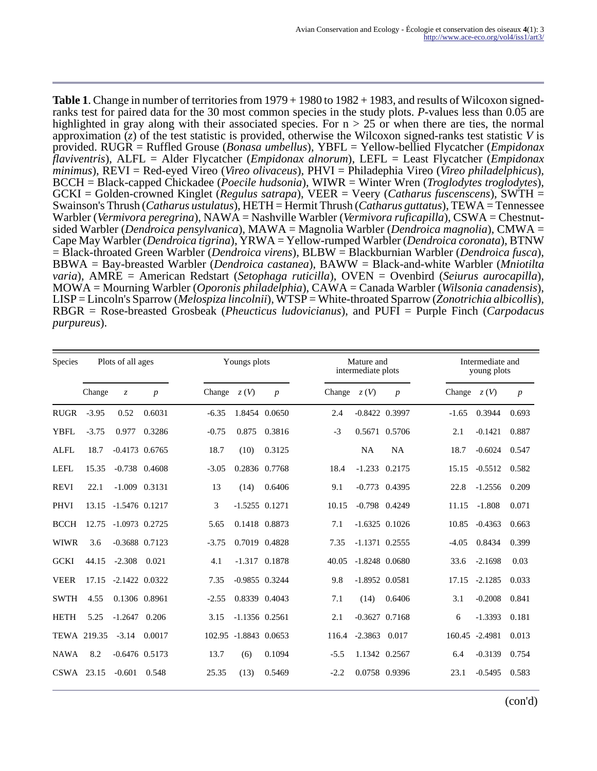**Table 1**. Change in number of territories from 1979 + 1980 to 1982 + 1983, and results of Wilcoxon signedranks test for paired data for the 30 most common species in the study plots. *P*-values less than 0.05 are highlighted in gray along with their associated species. For  $n > 25$  or when there are ties, the normal approximation (*z*) of the test statistic is provided, otherwise the Wilcoxon signed-ranks test statistic *V* is provided. RUGR = Ruffled Grouse (*Bonasa umbellus*), YBFL = Yellow-bellied Flycatcher (*Empidonax flaviventris*), ALFL = Alder Flycatcher (*Empidonax alnorum*), LEFL = Least Flycatcher (*Empidonax minimus*), REVI = Red-eyed Vireo (*Vireo olivaceus*), PHVI = Philadephia Vireo (*Vireo philadelphicus*), BCCH = Black-capped Chickadee (*Poecile hudsonia*), WIWR = Winter Wren (*Troglodytes troglodytes*), GCKI = Golden-crowned Kinglet (*Regulus satrapa*), VEER = Veery (*Catharus fuscenscens*), SWTH = Swainson's Thrush (*Catharus ustulatus*), HETH = Hermit Thrush (*Catharus guttatus*), TEWA = Tennessee Warbler (*Vermivora peregrina*), NAWA = Nashville Warbler (*Vermivora ruficapilla*), CSWA = Chestnutsided Warbler (*Dendroica pensylvanica*), MAWA = Magnolia Warbler (*Dendroica magnolia*), CMWA = Cape May Warbler (*Dendroica tigrina*), YRWA = Yellow-rumped Warbler (*Dendroica coronata*), BTNW = Black-throated Green Warbler (*Dendroica virens*), BLBW = Blackburnian Warbler (*Dendroica fusca*), BBWA = Bay-breasted Warbler (*Dendroica castanea*), BAWW = Black-and-white Warbler (*Mniotilta varia*), AMRE = American Redstart (*Setophaga ruticilla*), OVEN = Ovenbird (*Seiurus aurocapilla*), MOWA = Mourning Warbler (*Oporonis philadelphia*), CAWA = Canada Warbler (*Wilsonia canadensis*), LISP = Lincoln's Sparrow (*Melospiza lincolnii*), WTSP = White-throated Sparrow (*Zonotrichia albicollis*), RBGR = Rose-breasted Grosbeak (*Pheucticus ludovicianus*), and PUFI = Purple Finch (*Carpodacus purpureus*).

| Species     | Plots of all ages |                    |                   |         | Youngs plots          |                  | Mature and<br>intermediate plots |                    |                   | Intermediate and<br>young plots |                |                  |
|-------------|-------------------|--------------------|-------------------|---------|-----------------------|------------------|----------------------------------|--------------------|-------------------|---------------------------------|----------------|------------------|
|             | Change            | $\mathcal{Z}$      | $\boldsymbol{p}$  | Change  | z(V)                  | $\boldsymbol{p}$ | Change                           | z(V)               | $\boldsymbol{p}$  | Change                          | z(V)           | $\boldsymbol{p}$ |
| <b>RUGR</b> | $-3.95$           | 0.52               | 0.6031            | $-6.35$ |                       | 1.8454 0.0650    | 2.4                              | $-0.8422$ $0.3997$ |                   | $-1.65$                         | 0.3944         | 0.693            |
| <b>YBFL</b> | $-3.75$           | 0.977              | 0.3286            | $-0.75$ | 0.875                 | 0.3816           | $-3$                             |                    | 0.5671 0.5706     | 2.1                             | $-0.1421$      | 0.887            |
| <b>ALFL</b> | 18.7              | $-0.4173$ 0.6765   |                   | 18.7    | (10)                  | 0.3125           |                                  | <b>NA</b>          | <b>NA</b>         | 18.7                            | $-0.6024$      | 0.547            |
| <b>LEFL</b> | 15.35             |                    | $-0.738$ 0.4608   | $-3.05$ | 0.2836 0.7768         |                  | 18.4                             |                    | $-1.233$ 0.2175   | 15.15                           | $-0.5512$      | 0.582            |
| <b>REVI</b> | 22.1              |                    | $-1.009$ $0.3131$ | 13      | (14)                  | 0.6406           | 9.1                              |                    | $-0.773$ 0.4395   | 22.8                            | $-1.2556$      | 0.209            |
| <b>PHVI</b> | 13.15             | $-1.5476$ 0.1217   |                   | 3       | $-1.5255$ 0.1271      |                  | 10.15                            |                    | $-0.798$ $0.4249$ | 11.15                           | $-1.808$       | 0.071            |
| <b>BCCH</b> | 12.75             | $-1.0973$ 0.2725   |                   | 5.65    | 0.1418 0.8873         |                  | 7.1                              | $-1.6325$ 0.1026   |                   | 10.85                           | $-0.4363$      | 0.663            |
| <b>WIWR</b> | 3.6               | $-0.3688$ $0.7123$ |                   | $-3.75$ | 0.7019 0.4828         |                  | 7.35                             | $-1.1371$ 0.2555   |                   | $-4.05$                         | 0.8434         | 0.399            |
| <b>GCKI</b> | 44.15             | $-2.308$           | 0.021             | 4.1     |                       | $-1.317$ 0.1878  | 40.05                            | $-1.8248$ 0.0680   |                   | 33.6                            | $-2.1698$      | 0.03             |
| <b>VEER</b> | 17.15             | $-2.1422$ $0.0322$ |                   | 7.35    | $-0.9855$ 0.3244      |                  | 9.8                              | $-1.8952$ 0.0581   |                   | 17.15                           | $-2.1285$      | 0.033            |
| <b>SWTH</b> | 4.55              | 0.1306 0.8961      |                   | $-2.55$ | 0.8339 0.4043         |                  | 7.1                              | (14)               | 0.6406            | 3.1                             | $-0.2008$      | 0.841            |
| <b>HETH</b> | 5.25              | $-1.2647$ 0.206    |                   | 3.15    | $-1.1356$ 0.2561      |                  | 2.1                              | $-0.3627$ $0.7168$ |                   | 6                               | $-1.3393$      | 0.181            |
| TEWA 219.35 |                   | $-3.14$            | 0.0017            |         | 102.95 -1.8843 0.0653 |                  | 116.4                            | $-2.3863$ 0.017    |                   |                                 | 160.45 -2.4981 | 0.013            |
| <b>NAWA</b> | 8.2               | $-0.6476$ $0.5173$ |                   | 13.7    | (6)                   | 0.1094           | $-5.5$                           |                    | 1.1342 0.2567     | 6.4                             | $-0.3139$      | 0.754            |
| <b>CSWA</b> | 23.15             | $-0.601$           | 0.548             | 25.35   | (13)                  | 0.5469           | $-2.2$                           |                    | 0.0758 0.9396     | 23.1                            | $-0.5495$      | 0.583            |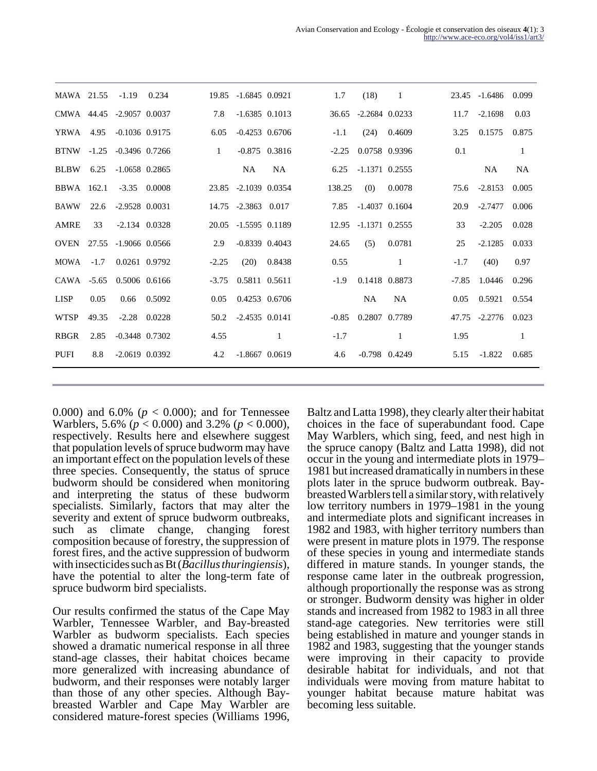|             |        | MAWA 21.55 -1.19 0.234    |                 |              | 19.85 -1.6845 0.0921 |                 | 1.7     | (18)                  | $\mathbf{1}$ |        | 23.45 -1.6486       | 0.099     |
|-------------|--------|---------------------------|-----------------|--------------|----------------------|-----------------|---------|-----------------------|--------------|--------|---------------------|-----------|
|             |        | CMWA 44.45 -2.9057 0.0037 |                 | 7.8          | $-1.6385$ 0.1013     |                 |         | 36.65 -2.2684 0.0233  |              |        | $11.7 - 2.1698$     | 0.03      |
| YRWA 4.95   |        | $-0.1036$ 0.9175          |                 | 6.05         | $-0.4253$ $0.6706$   |                 | $-1.1$  | (24)                  | 0.4609       | 3.25   | 0.1575              | 0.875     |
|             |        | BTNW -1.25 -0.3496 0.7266 |                 | $\mathbf{1}$ |                      | $-0.875$ 0.3816 | $-2.25$ | 0.0758 0.9396         |              | 0.1    |                     | 1         |
|             |        | BLBW 6.25 -1.0658 0.2865  |                 |              | NA.                  | NA.             |         | $6.25 -1.1371$ 0.2555 |              |        | <b>NA</b>           | <b>NA</b> |
| BBWA 162.1  |        |                           | $-3.35$ 0.0008  | 23.85        | $-2.1039$ 0.0354     |                 | 138.25  | (0)                   | 0.0078       | 75.6   | $-2.8153$           | 0.005     |
| BAWW        |        | 22.6 -2.9528 0.0031       |                 |              | 14.75 -2.3863 0.017  |                 |         | 7.85 -1.4037 0.1604   |              | 20.9   | $-2.7477$           | 0.006     |
| AMRE        | 33     |                           | $-2.134$ 0.0328 |              | 20.05 -1.5595 0.1189 |                 |         | 12.95 -1.1371 0.2555  |              | 33     | $-2.205$            | 0.028     |
| <b>OVEN</b> |        | 27.55 -1.9066 0.0566      |                 | 2.9          | $-0.8339$ $0.4043$   |                 | 24.65   | (5)                   | 0.0781       | 25     | $-2.1285$           | 0.033     |
| MOWA        | $-1.7$ | 0.0261 0.9792             |                 | $-2.25$      |                      | $(20)$ 0.8438   | 0.55    |                       | 1            | $-1.7$ | (40)                | 0.97      |
| CAWA -5.65  |        | 0.5006 0.6166             |                 | $-3.75$      | 0.5811 0.5611        |                 | $-1.9$  | 0.1418 0.8873         |              | -7.85  | 1.0446              | 0.296     |
| <b>LISP</b> | 0.05   | 0.66                      | 0.5092          | 0.05         | 0.4253 0.6706        |                 |         | <b>NA</b>             | NA           | 0.05   | 0.5921              | 0.554     |
| <b>WTSP</b> | 49.35  |                           | $-2.28$ 0.0228  |              | 50.2 -2.4535 0.0141  |                 | $-0.85$ | 0.2807 0.7789         |              |        | 47.75 -2.2776 0.023 |           |
| RBGR        | 2.85   | $-0.3448$ 0.7302          |                 | 4.55         |                      | -1              | $-1.7$  |                       | $\mathbf{1}$ | 1.95   |                     | -1        |
| <b>PUFI</b> | 8.8    | $-2.0619$ 0.0392          |                 | 4.2          | $-1.8667$ 0.0619     |                 | 4.6     | $-0.798$ 0.4249       |              | 5.15   | $-1.822$            | 0.685     |
|             |        |                           |                 |              |                      |                 |         |                       |              |        |                     |           |

0.000) and 6.0% (*p* < 0.000); and for Tennessee Warblers, 5.6% (*p* < 0.000) and 3.2% (*p* < 0.000), respectively. Results here and elsewhere suggest that population levels of spruce budworm may have an important effect on the population levels of these three species. Consequently, the status of spruce budworm should be considered when monitoring and interpreting the status of these budworm specialists. Similarly, factors that may alter the severity and extent of spruce budworm outbreaks, such as climate change, changing forest composition because of forestry, the suppression of forest fires, and the active suppression of budworm with insecticides such as Bt (*Bacillus thuringiensis*), have the potential to alter the long-term fate of spruce budworm bird specialists.

Our results confirmed the status of the Cape May Warbler, Tennessee Warbler, and Bay-breasted Warbler as budworm specialists. Each species showed a dramatic numerical response in all three stand-age classes, their habitat choices became more generalized with increasing abundance of budworm, and their responses were notably larger than those of any other species. Although Baybreasted Warbler and Cape May Warbler are considered mature-forest species (Williams 1996,

Baltz and Latta 1998), they clearly alter their habitat choices in the face of superabundant food. Cape May Warblers, which sing, feed, and nest high in the spruce canopy (Baltz and Latta 1998), did not occur in the young and intermediate plots in 1979– 1981 but increased dramatically in numbers in these plots later in the spruce budworm outbreak. Baybreasted Warblers tell a similar story, with relatively low territory numbers in 1979–1981 in the young and intermediate plots and significant increases in 1982 and 1983, with higher territory numbers than were present in mature plots in 1979. The response of these species in young and intermediate stands differed in mature stands. In younger stands, the response came later in the outbreak progression, although proportionally the response was as strong or stronger. Budworm density was higher in older stands and increased from 1982 to 1983 in all three stand-age categories. New territories were still being established in mature and younger stands in 1982 and 1983, suggesting that the younger stands were improving in their capacity to provide desirable habitat for individuals, and not that individuals were moving from mature habitat to younger habitat because mature habitat was becoming less suitable.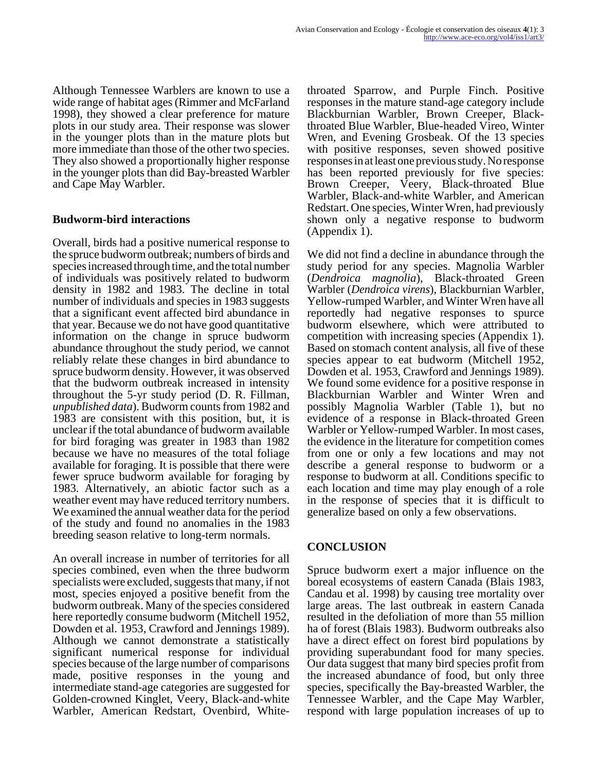Although Tennessee Warblers are known to use a wide range of habitat ages (Rimmer and McFarland 1998), they showed a clear preference for mature plots in our study area. Their response was slower in the younger plots than in the mature plots but more immediate than those of the other two species. They also showed a proportionally higher response in the younger plots than did Bay-breasted Warbler and Cape May Warbler.

### **Budworm-bird interactions**

Overall, birds had a positive numerical response to the spruce budworm outbreak; numbers of birds and species increased through time, and the total number of individuals was positively related to budworm density in 1982 and 1983. The decline in total number of individuals and species in 1983 suggests that a significant event affected bird abundance in that year. Because we do not have good quantitative information on the change in spruce budworm abundance throughout the study period, we cannot reliably relate these changes in bird abundance to spruce budworm density. However, it was observed that the budworm outbreak increased in intensity throughout the 5-yr study period (D. R. Fillman, *unpublished data*). Budworm counts from 1982 and 1983 are consistent with this position, but, it is unclear if the total abundance of budworm available for bird foraging was greater in 1983 than 1982 because we have no measures of the total foliage available for foraging. It is possible that there were fewer spruce budworm available for foraging by 1983. Alternatively, an abiotic factor such as a weather event may have reduced territory numbers. We examined the annual weather data for the period of the study and found no anomalies in the 1983 breeding season relative to long-term normals.

An overall increase in number of territories for all species combined, even when the three budworm specialists were excluded, suggests that many, if not most, species enjoyed a positive benefit from the budworm outbreak. Many of the species considered here reportedly consume budworm (Mitchell 1952, Dowden et al. 1953, Crawford and Jennings 1989). Although we cannot demonstrate a statistically significant numerical response for individual species because of the large number of comparisons made, positive responses in the young and intermediate stand-age categories are suggested for Golden-crowned Kinglet, Veery, Black-and-white Warbler, American Redstart, Ovenbird, Whitethroated Sparrow, and Purple Finch. Positive responses in the mature stand-age category include Blackburnian Warbler, Brown Creeper, Blackthroated Blue Warbler, Blue-headed Vireo, Winter Wren, and Evening Grosbeak. Of the 13 species with positive responses, seven showed positive responses in at least one previous study. No response has been reported previously for five species: Brown Creeper, Veery, Black-throated Blue Warbler, Black-and-white Warbler, and American Redstart. One species, Winter Wren, had previously shown only a negative response to budworm (Appendix 1).

We did not find a decline in abundance through the study period for any species. Magnolia Warbler (*Dendroica magnolia*), Black-throated Green Warbler (*Dendroica virens*), Blackburnian Warbler, Yellow-rumped Warbler, and Winter Wren have all reportedly had negative responses to spurce budworm elsewhere, which were attributed to competition with increasing species (Appendix 1). Based on stomach content analysis, all five of these species appear to eat budworm (Mitchell 1952, Dowden et al. 1953, Crawford and Jennings 1989). We found some evidence for a positive response in Blackburnian Warbler and Winter Wren and possibly Magnolia Warbler (Table 1), but no evidence of a response in Black-throated Green Warbler or Yellow-rumped Warbler. In most cases, the evidence in the literature for competition comes from one or only a few locations and may not describe a general response to budworm or a response to budworm at all. Conditions specific to each location and time may play enough of a role in the response of species that it is difficult to generalize based on only a few observations.

### **CONCLUSION**

Spruce budworm exert a major influence on the boreal ecosystems of eastern Canada (Blais 1983, Candau et al. 1998) by causing tree mortality over large areas. The last outbreak in eastern Canada resulted in the defoliation of more than 55 million ha of forest (Blais 1983). Budworm outbreaks also have a direct effect on forest bird populations by providing superabundant food for many species. Our data suggest that many bird species profit from the increased abundance of food, but only three species, specifically the Bay-breasted Warbler, the Tennessee Warbler, and the Cape May Warbler, respond with large population increases of up to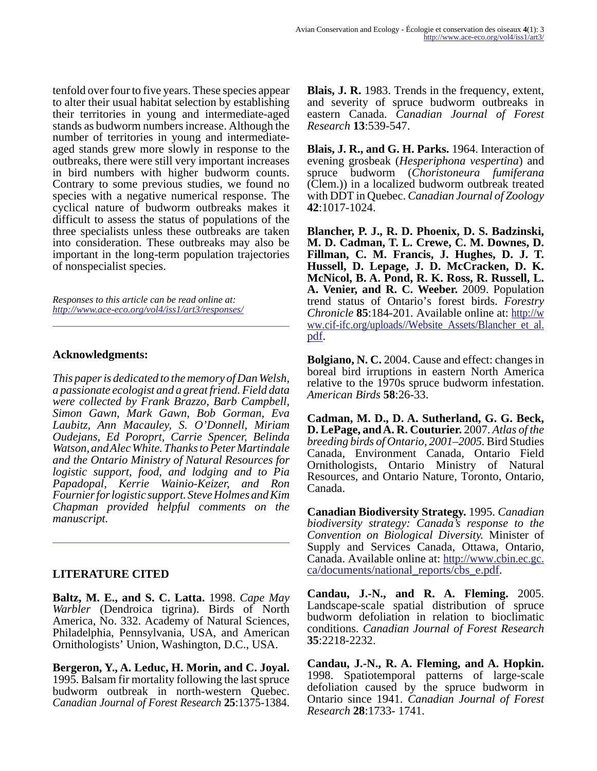tenfold over four to five years. These species appear to alter their usual habitat selection by establishing their territories in young and intermediate-aged stands as budworm numbers increase. Although the number of territories in young and intermediateaged stands grew more slowly in response to the outbreaks, there were still very important increases in bird numbers with higher budworm counts. Contrary to some previous studies, we found no species with a negative numerical response. The cyclical nature of budworm outbreaks makes it difficult to assess the status of populations of the three specialists unless these outbreaks are taken into consideration. These outbreaks may also be important in the long-term population trajectories of nonspecialist species.

*Responses to this article can be read online at: <http://www.ace-eco.org/vol4/iss1/art3/responses/>*

### **Acknowledgments:**

*This paper is dedicated to the memory of Dan Welsh, a passionate ecologist and a great friend. Field data were collected by Frank Brazzo, Barb Campbell, Simon Gawn, Mark Gawn, Bob Gorman, Eva Laubitz, Ann Macauley, S. O'Donnell, Miriam Oudejans, Ed Poroprt, Carrie Spencer, Belinda Watson, and Alec White. Thanks to Peter Martindale and the Ontario Ministry of Natural Resources for logistic support, food, and lodging and to Pia Papadopal, Kerrie Wainio-Keizer, and Ron Fournier for logistic support. Steve Holmes and Kim Chapman provided helpful comments on the manuscript.* 

### **LITERATURE CITED**

**Baltz, M. E., and S. C. Latta.** 1998. *Cape May Warbler* (Dendroica tigrina). Birds of North America, No. 332. Academy of Natural Sciences, Philadelphia, Pennsylvania, USA, and American Ornithologists' Union, Washington, D.C., USA.

**Bergeron, Y., A. Leduc, H. Morin, and C. Joyal.** 1995. Balsam fir mortality following the last spruce budworm outbreak in north-western Quebec. *Canadian Journal of Forest Research* **25**:1375-1384.

**Blais, J. R.** 1983. Trends in the frequency, extent, and severity of spruce budworm outbreaks in eastern Canada. *Canadian Journal of Forest Research* **13**:539-547.

**Blais, J. R., and G. H. Parks.** 1964. Interaction of evening grosbeak (*Hesperiphona vespertina*) and spruce budworm (*Choristoneura fumiferana* (Clem.)) in a localized budworm outbreak treated with DDT in Quebec. *Canadian Journal of Zoology* **42**:1017-1024.

**Blancher, P. J., R. D. Phoenix, D. S. Badzinski, M. D. Cadman, T. L. Crewe, C. M. Downes, D. Fillman, C. M. Francis, J. Hughes, D. J. T. Hussell, D. Lepage, J. D. McCracken, D. K. McNicol, B. A. Pond, R. K. Ross, R. Russell, L. A. Venier, and R. C. Weeber.** 2009. Population trend status of Ontario's forest birds. *Forestry Chronicle* **85**:184-201. Available online at: [http://w](http://www.cif-ifc.org/uploads//Website_Assets/Blancher_et_al.pdf) ww.cif-ifc.org/uploads//Website\_Assets/Blancher\_et\_al. [pdf.](http://www.cif-ifc.org/uploads//Website_Assets/Blancher_et_al.pdf)

**Bolgiano, N. C.** 2004. Cause and effect: changes in boreal bird irruptions in eastern North America relative to the 1970s spruce budworm infestation. *American Birds* **58**:26-33.

**Cadman, M. D., D. A. Sutherland, G. G. Beck, D. LePage, and A. R. Couturier.** 2007. *Atlas of the breeding birds of Ontario, 2001–2005.* Bird Studies Canada, Environment Canada, Ontario Field Ornithologists, Ontario Ministry of Natural Resources, and Ontario Nature, Toronto, Ontario, Canada.

**Canadian Biodiversity Strategy.** 1995. *Canadian biodiversity strategy: Canada's response to the Convention on Biological Diversity.* Minister of Supply and Services Canada, Ottawa, Ontario, Canada. Available online at: [http://www.cbin.ec.gc.](http://www.cbin.ec.gc.ca/documents/national_reports/cbs_e.pdf) [ca/documents/national\\_reports/cbs\\_e.pdf.](http://www.cbin.ec.gc.ca/documents/national_reports/cbs_e.pdf)

**Candau, J.-N., and R. A. Fleming.** 2005. Landscape-scale spatial distribution of spruce budworm defoliation in relation to bioclimatic conditions. *Canadian Journal of Forest Research* **35**:2218-2232.

**Candau, J.-N., R. A. Fleming, and A. Hopkin.** 1998. Spatiotemporal patterns of large-scale defoliation caused by the spruce budworm in Ontario since 1941. *Canadian Journal of Forest Research* **28**:1733- 1741.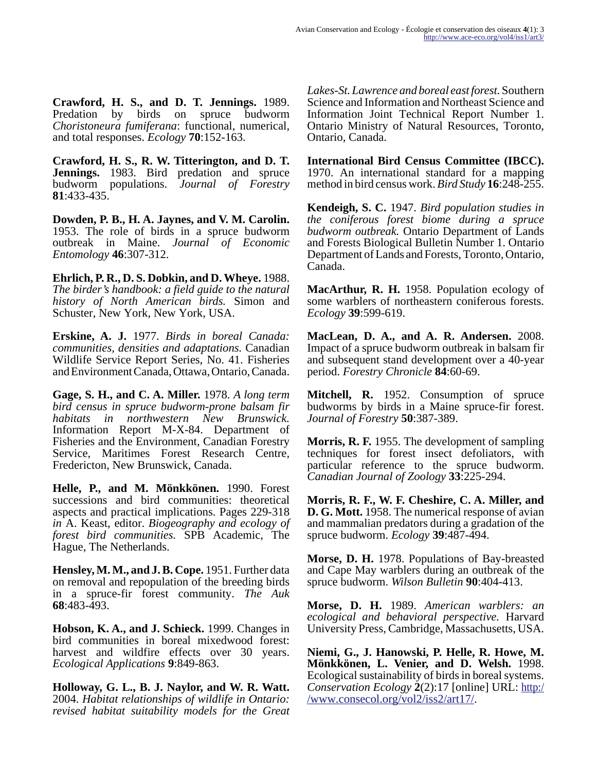**Crawford, H. S., and D. T. Jennings.** 1989. Predation by birds on spruce budworm *Choristoneura fumiferana*: functional, numerical, and total responses. *Ecology* **70**:152-163.

**Crawford, H. S., R. W. Titterington, and D. T. Jennings.** 1983. Bird predation and spruce budworm populations. *Journal of Forestry* **81**:433-435.

**Dowden, P. B., H. A. Jaynes, and V. M. Carolin.** 1953. The role of birds in a spruce budworm outbreak in Maine. *Journal of Economic Entomology* **46**:307-312.

**Ehrlich, P. R., D. S. Dobkin, and D. Wheye.** 1988. *The birder's handbook: a field guide to the natural history of North American birds.* Simon and Schuster, New York, New York, USA.

**Erskine, A. J.** 1977. *Birds in boreal Canada: communities, densities and adaptations.* Canadian Wildlife Service Report Series, No. 41. Fisheries and Environment Canada, Ottawa, Ontario, Canada.

**Gage, S. H., and C. A. Miller.** 1978. *A long term bird census in spruce budworm-prone balsam fir habitats in northwestern New Brunswick.* Information Report M-X-84. Department of Fisheries and the Environment, Canadian Forestry Service, Maritimes Forest Research Centre, Fredericton, New Brunswick, Canada.

**Helle, P., and M. Mönkkönen.** 1990. Forest successions and bird communities: theoretical aspects and practical implications. Pages 229-318 *in* A. Keast, editor. *Biogeography and ecology of forest bird communities.* SPB Academic, The Hague, The Netherlands.

**Hensley, M. M., and J. B. Cope.** 1951. Further data on removal and repopulation of the breeding birds in a spruce-fir forest community. *The Auk* **68**:483-493.

**Hobson, K. A., and J. Schieck.** 1999. Changes in bird communities in boreal mixedwood forest: harvest and wildfire effects over 30 years. *Ecological Applications* **9**:849-863.

**Holloway, G. L., B. J. Naylor, and W. R. Watt.** 2004. *Habitat relationships of wildlife in Ontario: revised habitat suitability models for the Great* *Lakes-St. Lawrence and boreal east forest.* Southern Science and Information and Northeast Science and Information Joint Technical Report Number 1. Ontario Ministry of Natural Resources, Toronto, Ontario, Canada.

**International Bird Census Committee (IBCC).** 1970. An international standard for a mapping method in bird census work. *Bird Study* **16**:248-255.

**Kendeigh, S. C.** 1947. *Bird population studies in the coniferous forest biome during a spruce budworm outbreak.* Ontario Department of Lands and Forests Biological Bulletin Number 1. Ontario Department of Lands and Forests, Toronto, Ontario, Canada.

**MacArthur, R. H.** 1958. Population ecology of some warblers of northeastern coniferous forests. *Ecology* **39**:599-619.

**MacLean, D. A., and A. R. Andersen.** 2008. Impact of a spruce budworm outbreak in balsam fir and subsequent stand development over a 40-year period. *Forestry Chronicle* **84**:60-69.

**Mitchell, R.** 1952. Consumption of spruce budworms by birds in a Maine spruce-fir forest. *Journal of Forestry* **50**:387-389.

**Morris, R. F.** 1955. The development of sampling techniques for forest insect defoliators, with particular reference to the spruce budworm. *Canadian Journal of Zoology* **33**:225-294.

**Morris, R. F., W. F. Cheshire, C. A. Miller, and D. G. Mott.** 1958. The numerical response of avian and mammalian predators during a gradation of the spruce budworm. *Ecology* **39**:487-494.

**Morse, D. H.** 1978. Populations of Bay-breasted and Cape May warblers during an outbreak of the spruce budworm. *Wilson Bulletin* **90**:404-413.

**Morse, D. H.** 1989. *American warblers: an ecological and behavioral perspective.* Harvard University Press, Cambridge, Massachusetts, USA.

**Niemi, G., J. Hanowski, P. Helle, R. Howe, M. Mönkkönen, L. Venier, and D. Welsh.** 1998. Ecological sustainability of birds in boreal systems. *Conservation Ecology* **2**(2):17 [online] URL: [http:/](http://www.consecol.org/vol2/iss2/art17/) [/www.consecol.org/vol2/iss2/art17/](http://www.consecol.org/vol2/iss2/art17/).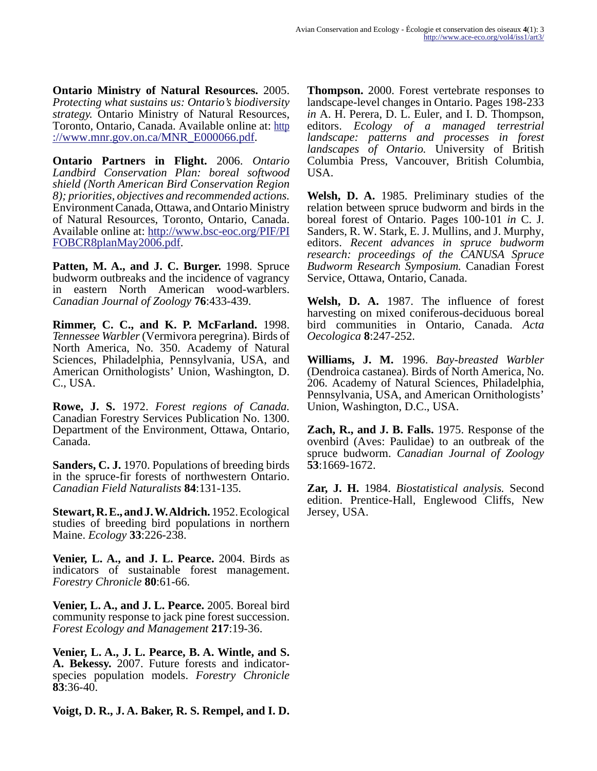**Ontario Ministry of Natural Resources.** 2005. *Protecting what sustains us: Ontario's biodiversity strategy.* Ontario Ministry of Natural Resources, Toronto, Ontario, Canada. Available online at: [http](http://www.mnr.gov.on.ca/MNR_E000066.pdf) [://www.mnr.gov.on.ca/MNR\\_E000066.pdf.](http://www.mnr.gov.on.ca/MNR_E000066.pdf)

**Ontario Partners in Flight.** 2006. *Ontario Landbird Conservation Plan: boreal softwood shield (North American Bird Conservation Region 8); priorities, objectives and recommended actions.* Environment Canada, Ottawa, and Ontario Ministry of Natural Resources, Toronto, Ontario, Canada. Available online at: [http://www.bsc-eoc.org/PIF/PI](http://www.bsc-eoc.org/PIF/PIFOBCR8planMay2006.pdf) [FOBCR8planMay2006.pdf](http://www.bsc-eoc.org/PIF/PIFOBCR8planMay2006.pdf).

**Patten, M. A., and J. C. Burger.** 1998. Spruce budworm outbreaks and the incidence of vagrancy in eastern North American wood-warblers. *Canadian Journal of Zoology* **76**:433-439.

**Rimmer, C. C., and K. P. McFarland.** 1998. *Tennessee Warbler* (Vermivora peregrina). Birds of North America, No. 350. Academy of Natural Sciences, Philadelphia, Pennsylvania, USA, and American Ornithologists' Union, Washington, D. C., USA.

**Rowe, J. S.** 1972. *Forest regions of Canada.* Canadian Forestry Services Publication No. 1300. Department of the Environment, Ottawa, Ontario, Canada.

**Sanders, C. J.** 1970. Populations of breeding birds in the spruce-fir forests of northwestern Ontario. *Canadian Field Naturalists* **84**:131-135.

**Stewart, R. E., and J. W. Aldrich.** 1952. Ecological studies of breeding bird populations in northern Maine. *Ecology* **33**:226-238.

**Venier, L. A., and J. L. Pearce.** 2004. Birds as indicators of sustainable forest management. *Forestry Chronicle* **80**:61-66.

**Venier, L. A., and J. L. Pearce.** 2005. Boreal bird community response to jack pine forest succession. *Forest Ecology and Management* **217**:19-36.

**Venier, L. A., J. L. Pearce, B. A. Wintle, and S. A. Bekessy.** 2007. Future forests and indicatorspecies population models. *Forestry Chronicle* **83**:36-40.

**Voigt, D. R., J. A. Baker, R. S. Rempel, and I. D.**

**Thompson.** 2000. Forest vertebrate responses to landscape-level changes in Ontario. Pages 198-233 *in* A. H. Perera, D. L. Euler, and I. D. Thompson, editors. *Ecology of a managed terrestrial landscape: patterns and processes in forest landscapes of Ontario.* University of British Columbia Press, Vancouver, British Columbia, USA.

**Welsh, D. A.** 1985. Preliminary studies of the relation between spruce budworm and birds in the boreal forest of Ontario. Pages 100-101 *in* C. J. Sanders, R. W. Stark, E. J. Mullins, and J. Murphy, editors. *Recent advances in spruce budworm research: proceedings of the CANUSA Spruce Budworm Research Symposium.* Canadian Forest Service, Ottawa, Ontario, Canada.

**Welsh, D. A.** 1987. The influence of forest harvesting on mixed coniferous-deciduous boreal bird communities in Ontario, Canada. *Acta Oecologica* **8**:247-252.

**Williams, J. M.** 1996. *Bay-breasted Warbler* (Dendroica castanea). Birds of North America, No. 206. Academy of Natural Sciences, Philadelphia, Pennsylvania, USA, and American Ornithologists' Union, Washington, D.C., USA.

**Zach, R., and J. B. Falls.** 1975. Response of the ovenbird (Aves: Paulidae) to an outbreak of the spruce budworm. *Canadian Journal of Zoology* **53**:1669-1672.

**Zar, J. H.** 1984. *Biostatistical analysis.* Second edition. Prentice-Hall, Englewood Cliffs, New Jersey, USA.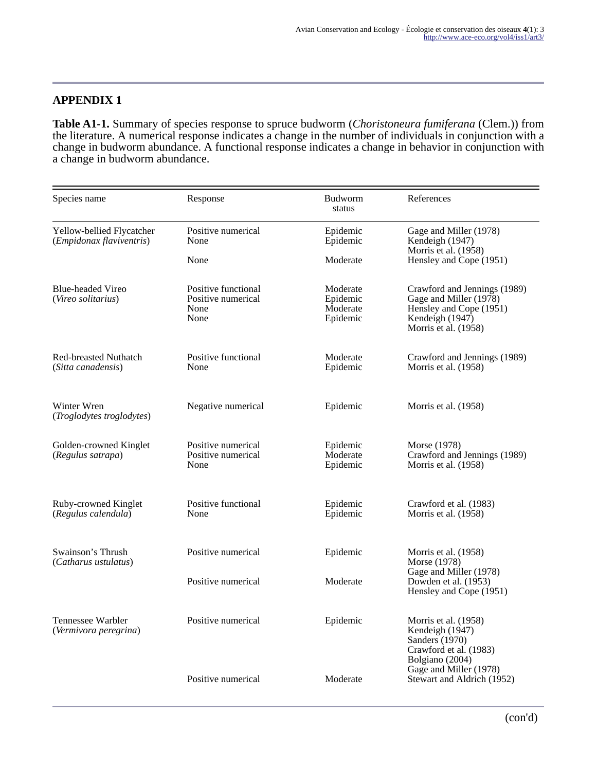### **APPENDIX 1**

**Table A1-1.** Summary of species response to spruce budworm (*Choristoneura fumiferana* (Clem.)) from the literature. A numerical response indicates a change in the number of individuals in conjunction with a change in budworm abundance. A functional response indicates a change in behavior in conjunction with a change in budworm abundance.

| Species name                                          | Response                                                  | Budworm<br>status                            | References                                                                                                                       |
|-------------------------------------------------------|-----------------------------------------------------------|----------------------------------------------|----------------------------------------------------------------------------------------------------------------------------------|
| Yellow-bellied Flycatcher<br>(Empidonax flaviventris) | Positive numerical<br>None                                | Epidemic<br>Epidemic                         | Gage and Miller (1978)<br>Kendeigh (1947)<br>Morris et al. (1958)                                                                |
|                                                       | None                                                      | Moderate                                     | Hensley and Cope (1951)                                                                                                          |
| Blue-headed Vireo<br>(Vireo solitarius)               | Positive functional<br>Positive numerical<br>None<br>None | Moderate<br>Epidemic<br>Moderate<br>Epidemic | Crawford and Jennings (1989)<br>Gage and Miller (1978)<br>Hensley and Cope (1951)<br>Kendeigh (1947)<br>Morris et al. (1958)     |
| <b>Red-breasted Nuthatch</b><br>(Sitta canadensis)    | Positive functional<br>None                               | Moderate<br>Epidemic                         | Crawford and Jennings (1989)<br>Morris et al. (1958)                                                                             |
| Winter Wren<br>(Troglodytes troglodytes)              | Negative numerical                                        | Epidemic                                     | Morris et al. (1958)                                                                                                             |
| Golden-crowned Kinglet<br>(Regulus satrapa)           | Positive numerical<br>Positive numerical<br>None          | Epidemic<br>Moderate<br>Epidemic             | Morse (1978)<br>Crawford and Jennings (1989)<br>Morris et al. (1958)                                                             |
| Ruby-crowned Kinglet<br>(Regulus calendula)           | Positive functional<br>None                               | Epidemic<br>Epidemic                         | Crawford et al. (1983)<br>Morris et al. (1958)                                                                                   |
| Swainson's Thrush<br>(Catharus ustulatus)             | Positive numerical                                        | Epidemic                                     | Morris et al. (1958)<br>Morse (1978)<br>Gage and Miller (1978)                                                                   |
|                                                       | Positive numerical                                        | Moderate                                     | Dowden et al. (1953)<br>Hensley and Cope (1951)                                                                                  |
| Tennessee Warbler<br>(Vermivora peregrina)            | Positive numerical                                        | Epidemic                                     | Morris et al. (1958)<br>Kendeigh (1947)<br>Sanders (1970)<br>Crawford et al. (1983)<br>Bolgiano (2004)<br>Gage and Miller (1978) |
|                                                       | Positive numerical                                        | Moderate                                     | Stewart and Aldrich (1952)                                                                                                       |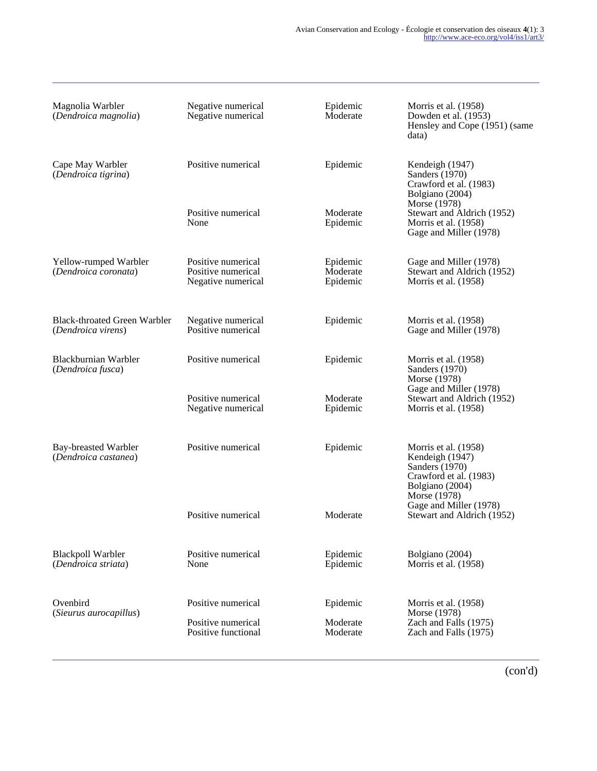Avian Conservation and Ecology - Écologie et conservation des oiseaux **4**(1): 3 <http://www.ace-eco.org/vol4/iss1/art3/>

| Magnolia Warbler<br>(Dendroica magnolia)                  | Negative numerical<br>Negative numerical                        | Epidemic<br>Moderate             | Morris et al. (1958)<br>Dowden et al. (1953)<br>Hensley and Cope (1951) (same<br>data)                                                           |
|-----------------------------------------------------------|-----------------------------------------------------------------|----------------------------------|--------------------------------------------------------------------------------------------------------------------------------------------------|
| Cape May Warbler<br>(Dendroica tigrina)                   | Positive numerical                                              | Epidemic                         | Kendeigh (1947)<br>Sanders (1970)<br>Crawford et al. (1983)<br>Bolgiano (2004)<br>Morse (1978)                                                   |
|                                                           | Positive numerical<br>None                                      | Moderate<br>Epidemic             | Stewart and Aldrich (1952)<br>Morris et al. (1958)<br>Gage and Miller (1978)                                                                     |
| Yellow-rumped Warbler<br>(Dendroica coronata)             | Positive numerical<br>Positive numerical<br>Negative numerical  | Epidemic<br>Moderate<br>Epidemic | Gage and Miller (1978)<br>Stewart and Aldrich (1952)<br>Morris et al. (1958)                                                                     |
| <b>Black-throated Green Warbler</b><br>(Dendroica virens) | Negative numerical<br>Positive numerical                        | Epidemic                         | Morris et al. (1958)<br>Gage and Miller (1978)                                                                                                   |
| Blackburnian Warbler<br>(Dendroica fusca)                 | Positive numerical                                              | Epidemic                         | Morris et al. (1958)<br>Sanders (1970)<br>Morse (1978)<br>Gage and Miller (1978)                                                                 |
|                                                           | Positive numerical<br>Negative numerical                        | Moderate<br>Epidemic             | Stewart and Aldrich (1952)<br>Morris et al. (1958)                                                                                               |
| <b>Bay-breasted Warbler</b><br>(Dendroica castanea)       | Positive numerical                                              | Epidemic                         | Morris et al. (1958)<br>Kendeigh (1947)<br>Sanders (1970)<br>Crawford et al. (1983)<br>Bolgiano (2004)<br>Morse (1978)<br>Gage and Miller (1978) |
|                                                           | Positive numerical                                              | Moderate                         | Stewart and Aldrich (1952)                                                                                                                       |
| <b>Blackpoll Warbler</b><br>(Dendroica striata)           | Positive numerical<br>None                                      | Epidemic<br>Epidemic             | Bolgiano (2004)<br>Morris et al. (1958)                                                                                                          |
| Ovenbird<br>(Sieurus aurocapillus)                        | Positive numerical<br>Positive numerical<br>Positive functional | Epidemic<br>Moderate<br>Moderate | Morris et al. (1958)<br>Morse (1978)<br>Zach and Falls (1975)<br>Zach and Falls (1975)                                                           |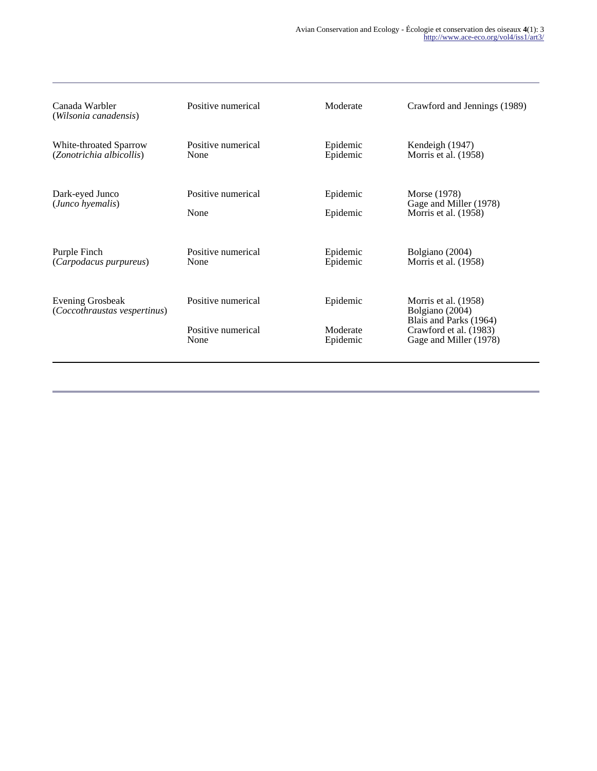| Canada Warbler<br>(Wilsonia canadensis)                 | Positive numerical                               | Moderate                         | Crawford and Jennings (1989)                                                                                            |
|---------------------------------------------------------|--------------------------------------------------|----------------------------------|-------------------------------------------------------------------------------------------------------------------------|
| White-throated Sparrow<br>(Zonotrichia albicollis)      | Positive numerical<br>None                       | Epidemic<br>Epidemic             | Kendeigh (1947)<br>Morris et al. (1958)                                                                                 |
| Dark-eyed Junco<br>(Junco hyemalis)                     | Positive numerical<br>None                       | Epidemic<br>Epidemic             | Morse (1978)<br>Gage and Miller (1978)<br>Morris et al. (1958)                                                          |
| Purple Finch<br>(Carpodacus purpureus)                  | Positive numerical<br>None                       | Epidemic<br>Epidemic             | Bolgiano (2004)<br>Morris et al. (1958)                                                                                 |
| <b>Evening Grosbeak</b><br>(Coccothraustas vespertinus) | Positive numerical<br>Positive numerical<br>None | Epidemic<br>Moderate<br>Epidemic | Morris et al. $(1958)$<br>Bolgiano (2004)<br>Blais and Parks (1964)<br>Crawford et al. (1983)<br>Gage and Miller (1978) |
|                                                         |                                                  |                                  |                                                                                                                         |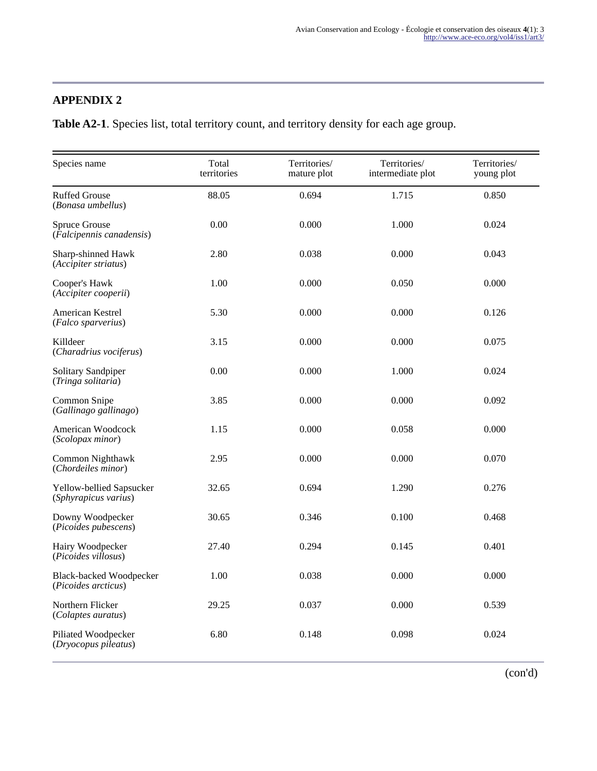# **APPENDIX 2**

**Table A2-1**. Species list, total territory count, and territory density for each age group.

| Species name                                          | Total<br>territories | Territories/<br>mature plot | Territories/<br>intermediate plot | Territories/<br>young plot |
|-------------------------------------------------------|----------------------|-----------------------------|-----------------------------------|----------------------------|
| <b>Ruffed Grouse</b><br>(Bonasa umbellus)             | 88.05                | 0.694                       | 1.715                             | 0.850                      |
| Spruce Grouse<br>(Falcipennis canadensis)             | 0.00                 | 0.000                       | 1.000                             | 0.024                      |
| Sharp-shinned Hawk<br>(Accipiter striatus)            | 2.80                 | 0.038                       | 0.000                             | 0.043                      |
| Cooper's Hawk<br>(Accipiter cooperii)                 | 1.00                 | 0.000                       | 0.050                             | 0.000                      |
| <b>American Kestrel</b><br>(Falco sparverius)         | 5.30                 | 0.000                       | 0.000                             | 0.126                      |
| Killdeer<br>(Charadrius vociferus)                    | 3.15                 | 0.000                       | 0.000                             | 0.075                      |
| Solitary Sandpiper<br>(Tringa solitaria)              | 0.00                 | 0.000                       | 1.000                             | 0.024                      |
| Common Snipe<br>(Gallinago gallinago)                 | 3.85                 | 0.000                       | 0.000                             | 0.092                      |
| American Woodcock<br>(Scolopax minor)                 | 1.15                 | 0.000                       | 0.058                             | 0.000                      |
| Common Nighthawk<br>(Chordeiles minor)                | 2.95                 | 0.000                       | 0.000                             | 0.070                      |
| Yellow-bellied Sapsucker<br>(Sphyrapicus varius)      | 32.65                | 0.694                       | 1.290                             | 0.276                      |
| Downy Woodpecker<br>(Picoides pubescens)              | 30.65                | 0.346                       | 0.100                             | 0.468                      |
| Hairy Woodpecker<br>(Picoides villosus)               | 27.40                | 0.294                       | 0.145                             | 0.401                      |
| <b>Black-backed Woodpecker</b><br>(Picoides arcticus) | 1.00                 | 0.038                       | 0.000                             | 0.000                      |
| Northern Flicker<br>(Colaptes auratus)                | 29.25                | 0.037                       | 0.000                             | 0.539                      |
| Piliated Woodpecker<br>(Dryocopus pileatus)           | 6.80                 | 0.148                       | 0.098                             | 0.024                      |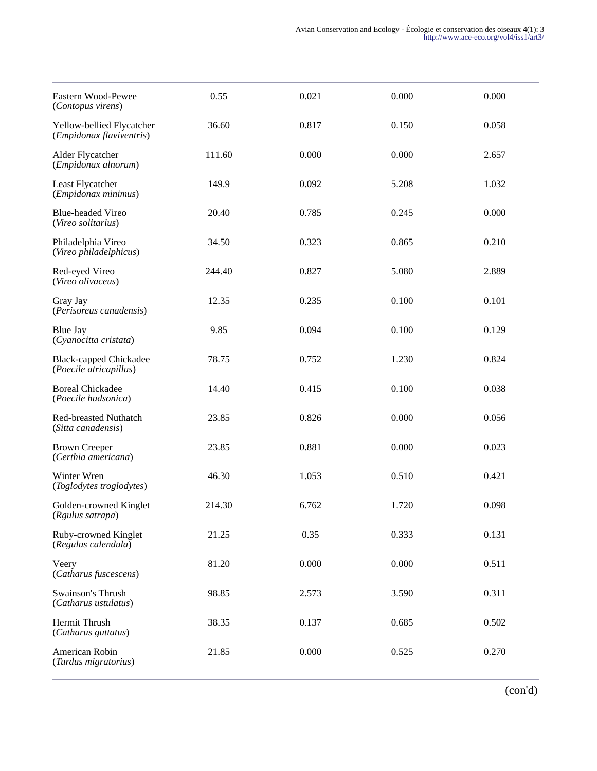| Eastern Wood-Pewee<br>(Contopus virens)                 | 0.55   | 0.021 | 0.000 | 0.000 |
|---------------------------------------------------------|--------|-------|-------|-------|
| Yellow-bellied Flycatcher<br>(Empidonax flaviventris)   | 36.60  | 0.817 | 0.150 | 0.058 |
| Alder Flycatcher<br>(Empidonax alnorum)                 | 111.60 | 0.000 | 0.000 | 2.657 |
| Least Flycatcher<br>(Empidonax minimus)                 | 149.9  | 0.092 | 5.208 | 1.032 |
| <b>Blue-headed Vireo</b><br>(Vireo solitarius)          | 20.40  | 0.785 | 0.245 | 0.000 |
| Philadelphia Vireo<br>(Vireo philadelphicus)            | 34.50  | 0.323 | 0.865 | 0.210 |
| Red-eyed Vireo<br>(Vireo olivaceus)                     | 244.40 | 0.827 | 5.080 | 2.889 |
| Gray Jay<br>(Perisoreus canadensis)                     | 12.35  | 0.235 | 0.100 | 0.101 |
| <b>Blue Jay</b><br>(Cyanocitta cristata)                | 9.85   | 0.094 | 0.100 | 0.129 |
| <b>Black-capped Chickadee</b><br>(Poecile atricapillus) | 78.75  | 0.752 | 1.230 | 0.824 |
| <b>Boreal Chickadee</b><br>(Poecile hudsonica)          | 14.40  | 0.415 | 0.100 | 0.038 |
| <b>Red-breasted Nuthatch</b><br>(Sitta canadensis)      | 23.85  | 0.826 | 0.000 | 0.056 |
| <b>Brown Creeper</b><br>(Certhia americana)             | 23.85  | 0.881 | 0.000 | 0.023 |
| Winter Wren<br>(Toglodytes troglodytes)                 | 46.30  | 1.053 | 0.510 | 0.421 |
| Golden-crowned Kinglet<br>(Rgulus satrapa)              | 214.30 | 6.762 | 1.720 | 0.098 |
| Ruby-crowned Kinglet<br>(Regulus calendula)             | 21.25  | 0.35  | 0.333 | 0.131 |
| Veery<br>(Catharus fuscescens)                          | 81.20  | 0.000 | 0.000 | 0.511 |
| Swainson's Thrush<br>(Catharus ustulatus)               | 98.85  | 2.573 | 3.590 | 0.311 |
| Hermit Thrush<br>(Catharus guttatus)                    | 38.35  | 0.137 | 0.685 | 0.502 |
| American Robin<br>(Turdus migratorius)                  | 21.85  | 0.000 | 0.525 | 0.270 |
|                                                         |        |       |       |       |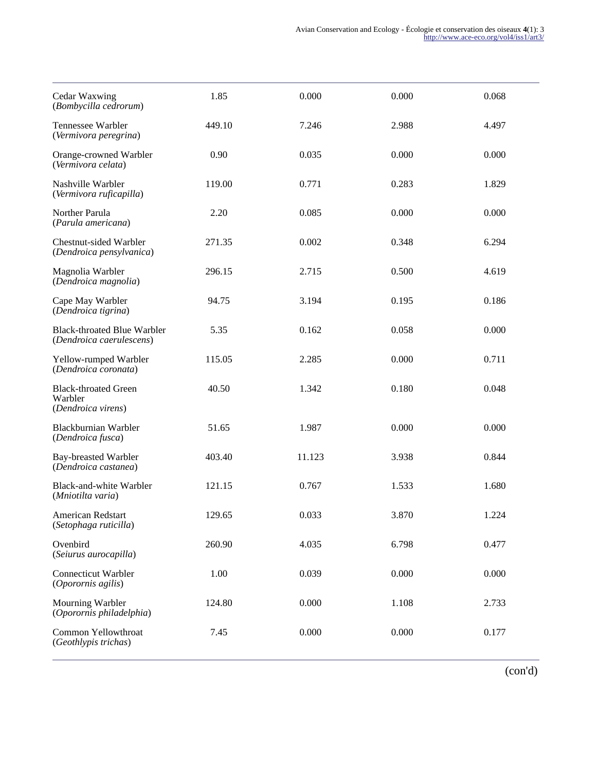| Cedar Waxwing<br>(Bombycilla cedrorum)                         | 1.85   | 0.000  | 0.000 | 0.068 |
|----------------------------------------------------------------|--------|--------|-------|-------|
| Tennessee Warbler<br>(Vermivora peregrina)                     | 449.10 | 7.246  | 2.988 | 4.497 |
| Orange-crowned Warbler<br>(Vermivora celata)                   | 0.90   | 0.035  | 0.000 | 0.000 |
| Nashville Warbler<br>(Vermivora ruficapilla)                   | 119.00 | 0.771  | 0.283 | 1.829 |
| Norther Parula<br>(Parula americana)                           | 2.20   | 0.085  | 0.000 | 0.000 |
| Chestnut-sided Warbler<br>(Dendroica pensylvanica)             | 271.35 | 0.002  | 0.348 | 6.294 |
| Magnolia Warbler<br>(Dendroica magnolia)                       | 296.15 | 2.715  | 0.500 | 4.619 |
| Cape May Warbler<br>(Dendroica tigrina)                        | 94.75  | 3.194  | 0.195 | 0.186 |
| <b>Black-throated Blue Warbler</b><br>(Dendroica caerulescens) | 5.35   | 0.162  | 0.058 | 0.000 |
| Yellow-rumped Warbler<br>(Dendroica coronata)                  | 115.05 | 2.285  | 0.000 | 0.711 |
| <b>Black-throated Green</b><br>Warbler<br>(Dendroica virens)   | 40.50  | 1.342  | 0.180 | 0.048 |
| <b>Blackburnian Warbler</b><br>(Dendroica fusca)               | 51.65  | 1.987  | 0.000 | 0.000 |
| <b>Bay-breasted Warbler</b><br>(Dendroica castanea)            | 403.40 | 11.123 | 3.938 | 0.844 |
| Black-and-white Warbler<br>(Mniotilta varia)                   | 121.15 | 0.767  | 1.533 | 1.680 |
| American Redstart<br>(Setophaga ruticilla)                     | 129.65 | 0.033  | 3.870 | 1.224 |
| Ovenbird<br>(Seiurus aurocapilla)                              | 260.90 | 4.035  | 6.798 | 0.477 |
| <b>Connecticut Warbler</b><br>(Oporornis agilis)               | 1.00   | 0.039  | 0.000 | 0.000 |
| Mourning Warbler<br>(Oporornis philadelphia)                   | 124.80 | 0.000  | 1.108 | 2.733 |
| Common Yellowthroat<br>(Geothlypis trichas)                    | 7.45   | 0.000  | 0.000 | 0.177 |